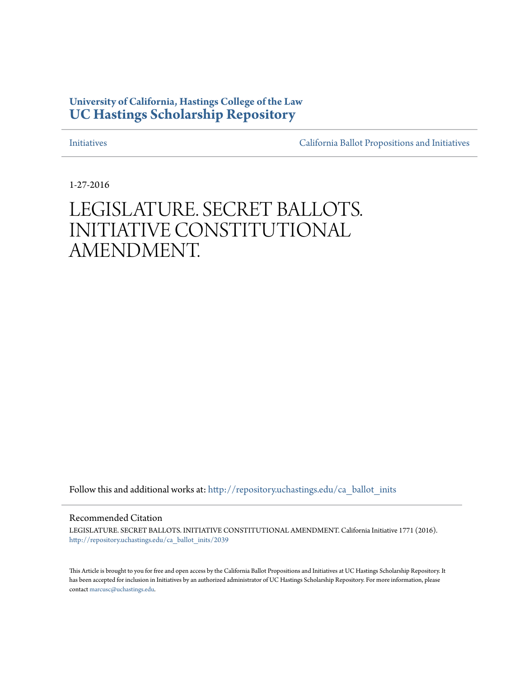# **University of California, Hastings College of the Law [UC Hastings Scholarship Repository](http://repository.uchastings.edu?utm_source=repository.uchastings.edu%2Fca_ballot_inits%2F2039&utm_medium=PDF&utm_campaign=PDFCoverPages)**

[Initiatives](http://repository.uchastings.edu/ca_ballot_inits?utm_source=repository.uchastings.edu%2Fca_ballot_inits%2F2039&utm_medium=PDF&utm_campaign=PDFCoverPages) [California Ballot Propositions and Initiatives](http://repository.uchastings.edu/ca_ballots?utm_source=repository.uchastings.edu%2Fca_ballot_inits%2F2039&utm_medium=PDF&utm_campaign=PDFCoverPages)

1-27-2016

# LEGISLATURE. SECRET BALLOTS. INITIATIVE CONSTITUTIONAL AMENDMENT.

Follow this and additional works at: [http://repository.uchastings.edu/ca\\_ballot\\_inits](http://repository.uchastings.edu/ca_ballot_inits?utm_source=repository.uchastings.edu%2Fca_ballot_inits%2F2039&utm_medium=PDF&utm_campaign=PDFCoverPages)

Recommended Citation

LEGISLATURE. SECRET BALLOTS. INITIATIVE CONSTITUTIONAL AMENDMENT. California Initiative 1771 (2016). [http://repository.uchastings.edu/ca\\_ballot\\_inits/2039](http://repository.uchastings.edu/ca_ballot_inits/2039?utm_source=repository.uchastings.edu%2Fca_ballot_inits%2F2039&utm_medium=PDF&utm_campaign=PDFCoverPages)

This Article is brought to you for free and open access by the California Ballot Propositions and Initiatives at UC Hastings Scholarship Repository. It has been accepted for inclusion in Initiatives by an authorized administrator of UC Hastings Scholarship Repository. For more information, please contact [marcusc@uchastings.edu](mailto:marcusc@uchastings.edu).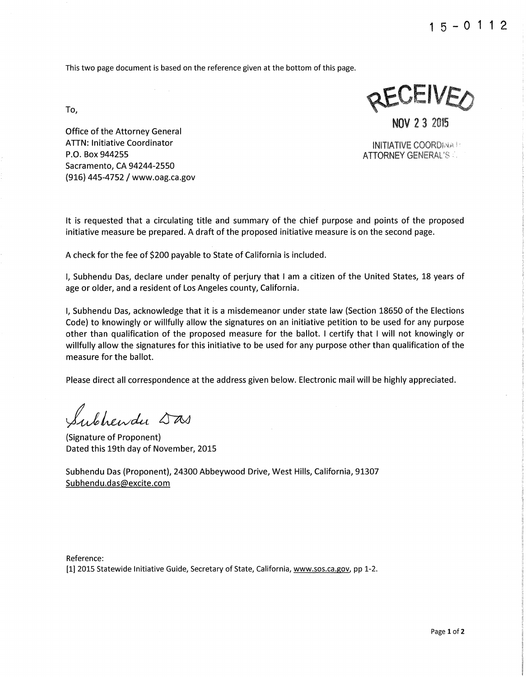This two page document is based on the reference given at the bottom of this page.

To,

Office of the Attorney General ATIN: Initiative Coordinator INITIATIVE COORDi,\1/. Sacramento, CA 94244-2550 (916) 445-4752 / www.oag.ca.gov

JEIVE/ NOV 2 3 2015

**ATTORNEY GENERAL'S &** 

It is requested that a circulating title and summary of the chief purpose and points of the proposed initiative measure be prepared. A draft of the proposed initiative measure is on the second page.

A check for the fee of \$200 payable to State of California is included.

I, Subhendu Das, declare under penalty of perjury that I am a citizen of the United States, 18 years of age or older, and a resident of Los Angeles county, California.

I, Subhendu Das, acknowledge that it is a misdemeanor under state law (Section 18650 of the Elections Code) to knowingly or willfully allow the signatures on an initiative petition to be used for any purpose other than qualification of the proposed measure for the ballot. I certify that I will not knowingly or willfully allow the signatures for this initiative to be used for any purpose other than qualification of the measure for the ballot.

Please direct all correspondence at the address given below. Electronic mail will be highly appreciated.

ubhendu Sas

(Signature of Proponent) Dated this 19th day of November, 2015

Subhendu Das (Proponent), 24300 Abbeywood Drive, West Hills, California, 91307 Subhendu.das@excite.com

Reference: [1] 2015 Statewide Initiative Guide, Secretary of State, California, www.sos.ca.gov, pp 1-2.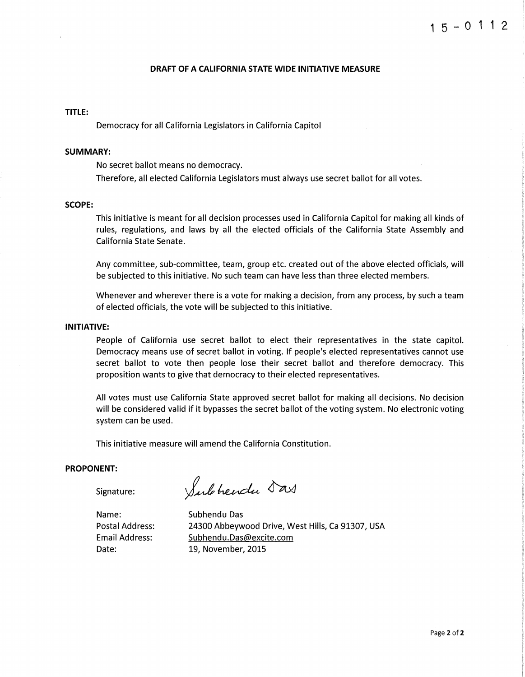#### **DRAFT OF A CALIFORNIA STATE WIDE INITIATIVE MEASURE**

## **TITLE:**

Democracy for all California Legislators in California Capitol

#### **SUMMARY:**

No secret ballot means no democracy. Therefore, all elected California Legislators must always use secret ballot for all votes.

### **SCOPE:**

This initiative is meant for all decision processes used in California Capitol for making all kinds of rules, regulations, and laws by all the elected officials of the California State Assembly and California State Senate.

Any committee, sub-committee, team, group etc. created out of the above elected officials, will be subjected to this initiative. No such team can have less than three elected members.

Whenever and wherever there is a vote for making a decision, from any process, by such a team of elected officials, the vote will be subjected to this initiative.

#### **INITIATIVE:**

People of California use secret ballot to elect their representatives in the state capitol. Democracy means use of secret ballot in voting. If people's elected representatives cannot use secret ballot to vote then people lose their secret ballot and therefore democracy. This proposition wants to give that democracy to their elected representatives.

All votes must use California State approved secret ballot for making all decisions. No decision will be considered valid if it bypasses the secret ballot of the voting system. No electronic voting system can be used.

This initiative measure will amend the California Constitution.

## **PROPONENT:**

Signature:

Subhendu Das

Name: Postal Address: Email Address: Date:

Subhendu Das 24300 Abbeywood Drive, West Hills, Ca 91307, USA Subhendu.Das@excite.com 19, November, 2015